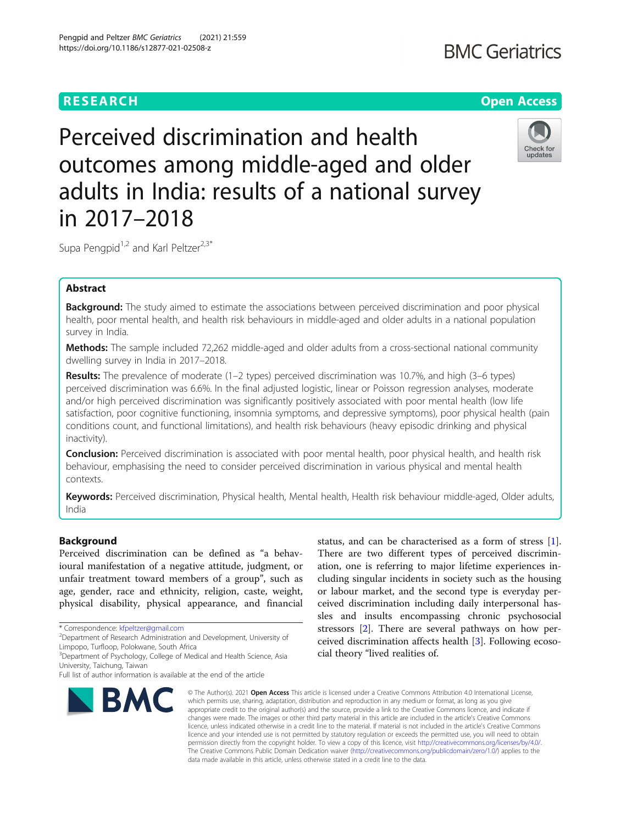# **RESEARCH CHEART CONTROL**

# **BMC Geriatrics**

Perceived discrimination and health outcomes among middle-aged and older adults in India: results of a national survey in 2017–2018



Supa Pengpid<sup>1,2</sup> and Karl Peltzer<sup>2,3\*</sup>

# Abstract

Background: The study aimed to estimate the associations between perceived discrimination and poor physical health, poor mental health, and health risk behaviours in middle-aged and older adults in a national population survey in India.

Methods: The sample included 72,262 middle-aged and older adults from a cross-sectional national community dwelling survey in India in 2017–2018.

Results: The prevalence of moderate (1–2 types) perceived discrimination was 10.7%, and high (3–6 types) perceived discrimination was 6.6%. In the final adjusted logistic, linear or Poisson regression analyses, moderate and/or high perceived discrimination was significantly positively associated with poor mental health (low life satisfaction, poor cognitive functioning, insomnia symptoms, and depressive symptoms), poor physical health (pain conditions count, and functional limitations), and health risk behaviours (heavy episodic drinking and physical inactivity).

Conclusion: Perceived discrimination is associated with poor mental health, poor physical health, and health risk behaviour, emphasising the need to consider perceived discrimination in various physical and mental health contexts.

Keywords: Perceived discrimination, Physical health, Mental health, Health risk behaviour middle-aged, Older adults, India

# Background

Perceived discrimination can be defined as "a behavioural manifestation of a negative attitude, judgment, or unfair treatment toward members of a group", such as age, gender, race and ethnicity, religion, caste, weight, physical disability, physical appearance, and financial

Full list of author information is available at the end of the article



status, and can be characterised as a form of stress [\[1](#page-8-0)]. There are two different types of perceived discrimination, one is referring to major lifetime experiences including singular incidents in society such as the housing or labour market, and the second type is everyday perceived discrimination including daily interpersonal hassles and insults encompassing chronic psychosocial stressors [[2\]](#page-8-0). There are several pathways on how perceived discrimination affects health [[3\]](#page-8-0). Following ecosocial theory "lived realities of.

© The Author(s), 2021 **Open Access** This article is licensed under a Creative Commons Attribution 4.0 International License, which permits use, sharing, adaptation, distribution and reproduction in any medium or format, as long as you give appropriate credit to the original author(s) and the source, provide a link to the Creative Commons licence, and indicate if changes were made. The images or other third party material in this article are included in the article's Creative Commons licence, unless indicated otherwise in a credit line to the material. If material is not included in the article's Creative Commons licence and your intended use is not permitted by statutory regulation or exceeds the permitted use, you will need to obtain permission directly from the copyright holder. To view a copy of this licence, visit [http://creativecommons.org/licenses/by/4.0/.](http://creativecommons.org/licenses/by/4.0/) The Creative Commons Public Domain Dedication waiver [\(http://creativecommons.org/publicdomain/zero/1.0/](http://creativecommons.org/publicdomain/zero/1.0/)) applies to the data made available in this article, unless otherwise stated in a credit line to the data.

<sup>\*</sup> Correspondence: [kfpeltzer@gmail.com](mailto:kfpeltzer@gmail.com) <sup>2</sup>

<sup>&</sup>lt;sup>2</sup>Department of Research Administration and Development, University of Limpopo, Turfloop, Polokwane, South Africa

<sup>&</sup>lt;sup>3</sup>Department of Psychology, College of Medical and Health Science, Asia University, Taichung, Taiwan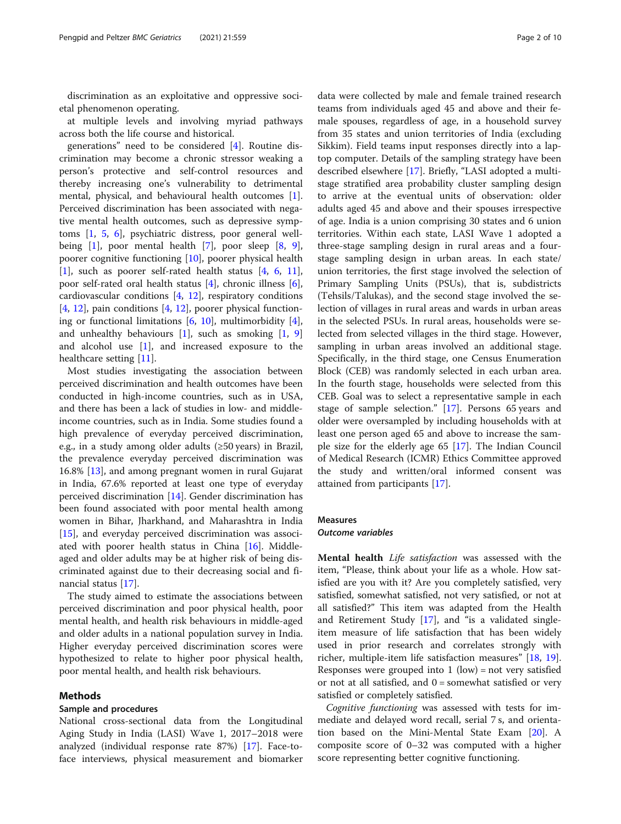discrimination as an exploitative and oppressive societal phenomenon operating.

at multiple levels and involving myriad pathways across both the life course and historical.

generations" need to be considered [[4\]](#page-8-0). Routine discrimination may become a chronic stressor weaking a person's protective and self-control resources and thereby increasing one's vulnerability to detrimental mental, physical, and behavioural health outcomes [\[1](#page-8-0)]. Perceived discrimination has been associated with negative mental health outcomes, such as depressive symptoms [\[1](#page-8-0), [5](#page-8-0), [6\]](#page-8-0), psychiatric distress, poor general wellbeing  $[1]$  $[1]$ , poor mental health  $[7]$ , poor sleep  $[8, 9]$  $[8, 9]$  $[8, 9]$  $[8, 9]$ , poorer cognitive functioning [[10](#page-8-0)], poorer physical health [[1\]](#page-8-0), such as poorer self-rated health status [[4,](#page-8-0) [6](#page-8-0), [11](#page-8-0)], poor self-rated oral health status [[4\]](#page-8-0), chronic illness [\[6](#page-8-0)], cardiovascular conditions [\[4](#page-8-0), [12](#page-8-0)], respiratory conditions [[4,](#page-8-0) [12\]](#page-8-0), pain conditions [\[4](#page-8-0), [12](#page-8-0)], poorer physical functioning or functional limitations [[6](#page-8-0), [10](#page-8-0)], multimorbidity [\[4](#page-8-0)], and unhealthy behaviours  $[1]$  $[1]$ , such as smoking  $[1, 9]$  $[1, 9]$  $[1, 9]$  $[1, 9]$ and alcohol use  $[1]$  $[1]$ , and increased exposure to the healthcare setting [[11\]](#page-8-0).

Most studies investigating the association between perceived discrimination and health outcomes have been conducted in high-income countries, such as in USA, and there has been a lack of studies in low- and middleincome countries, such as in India. Some studies found a high prevalence of everyday perceived discrimination, e.g., in a study among older adults (≥50 years) in Brazil, the prevalence everyday perceived discrimination was 16.8% [[13](#page-9-0)], and among pregnant women in rural Gujarat in India, 67.6% reported at least one type of everyday perceived discrimination [[14](#page-9-0)]. Gender discrimination has been found associated with poor mental health among women in Bihar, Jharkhand, and Maharashtra in India [[15\]](#page-9-0), and everyday perceived discrimination was associated with poorer health status in China [[16\]](#page-9-0). Middleaged and older adults may be at higher risk of being discriminated against due to their decreasing social and financial status [\[17](#page-9-0)].

The study aimed to estimate the associations between perceived discrimination and poor physical health, poor mental health, and health risk behaviours in middle-aged and older adults in a national population survey in India. Higher everyday perceived discrimination scores were hypothesized to relate to higher poor physical health, poor mental health, and health risk behaviours.

# Methods

# Sample and procedures

National cross-sectional data from the Longitudinal Aging Study in India (LASI) Wave 1, 2017–2018 were analyzed (individual response rate 87%) [\[17](#page-9-0)]. Face-toface interviews, physical measurement and biomarker

data were collected by male and female trained research teams from individuals aged 45 and above and their female spouses, regardless of age, in a household survey from 35 states and union territories of India (excluding Sikkim). Field teams input responses directly into a laptop computer. Details of the sampling strategy have been described elsewhere [[17](#page-9-0)]. Briefly, "LASI adopted a multistage stratified area probability cluster sampling design to arrive at the eventual units of observation: older adults aged 45 and above and their spouses irrespective of age. India is a union comprising 30 states and 6 union territories. Within each state, LASI Wave 1 adopted a three-stage sampling design in rural areas and a fourstage sampling design in urban areas. In each state/ union territories, the first stage involved the selection of Primary Sampling Units (PSUs), that is, subdistricts (Tehsils/Talukas), and the second stage involved the selection of villages in rural areas and wards in urban areas in the selected PSUs. In rural areas, households were selected from selected villages in the third stage. However, sampling in urban areas involved an additional stage. Specifically, in the third stage, one Census Enumeration Block (CEB) was randomly selected in each urban area. In the fourth stage, households were selected from this CEB. Goal was to select a representative sample in each stage of sample selection." [\[17\]](#page-9-0). Persons 65 years and older were oversampled by including households with at least one person aged 65 and above to increase the sample size for the elderly age 65 [\[17](#page-9-0)]. The Indian Council of Medical Research (ICMR) Ethics Committee approved the study and written/oral informed consent was attained from participants [\[17](#page-9-0)].

# Measures

# Outcome variables

Mental health Life satisfaction was assessed with the item, "Please, think about your life as a whole. How satisfied are you with it? Are you completely satisfied, very satisfied, somewhat satisfied, not very satisfied, or not at all satisfied?" This item was adapted from the Health and Retirement Study [\[17\]](#page-9-0), and "is a validated singleitem measure of life satisfaction that has been widely used in prior research and correlates strongly with richer, multiple-item life satisfaction measures" [[18,](#page-9-0) [19](#page-9-0)]. Responses were grouped into  $1$  (low) = not very satisfied or not at all satisfied, and  $0 =$  somewhat satisfied or very satisfied or completely satisfied.

Cognitive functioning was assessed with tests for immediate and delayed word recall, serial 7 s, and orientation based on the Mini-Mental State Exam [\[20\]](#page-9-0). A composite score of 0–32 was computed with a higher score representing better cognitive functioning.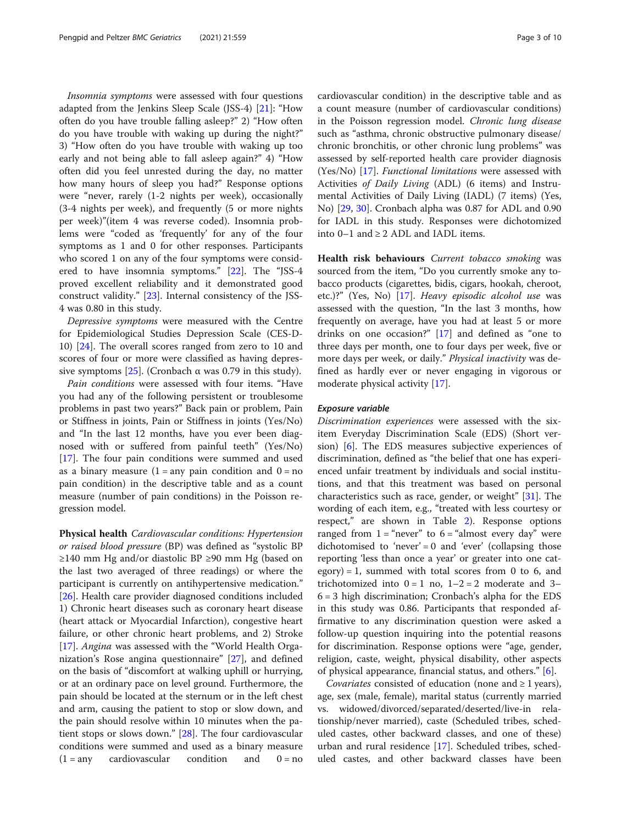Insomnia symptoms were assessed with four questions adapted from the Jenkins Sleep Scale (JSS-4) [[21\]](#page-9-0): "How often do you have trouble falling asleep?" 2) "How often do you have trouble with waking up during the night?" 3) "How often do you have trouble with waking up too early and not being able to fall asleep again?" 4) "How often did you feel unrested during the day, no matter how many hours of sleep you had?" Response options were "never, rarely (1-2 nights per week), occasionally (3-4 nights per week), and frequently (5 or more nights per week)"(item 4 was reverse coded). Insomnia problems were "coded as 'frequently' for any of the four symptoms as 1 and 0 for other responses. Participants who scored 1 on any of the four symptoms were considered to have insomnia symptoms." [\[22](#page-9-0)]. The "JSS-4 proved excellent reliability and it demonstrated good construct validity." [[23](#page-9-0)]. Internal consistency of the JSS-4 was 0.80 in this study.

Depressive symptoms were measured with the Centre for Epidemiological Studies Depression Scale (CES-D-10) [\[24](#page-9-0)]. The overall scores ranged from zero to 10 and scores of four or more were classified as having depres-sive symptoms [[25\]](#page-9-0). (Cronbach  $\alpha$  was 0.79 in this study).

Pain conditions were assessed with four items. "Have you had any of the following persistent or troublesome problems in past two years?" Back pain or problem, Pain or Stiffness in joints, Pain or Stiffness in joints (Yes/No) and "In the last 12 months, have you ever been diagnosed with or suffered from painful teeth" (Yes/No) [[17\]](#page-9-0). The four pain conditions were summed and used as a binary measure  $(1 = any pain condition and 0 = no$ pain condition) in the descriptive table and as a count measure (number of pain conditions) in the Poisson regression model.

Physical health Cardiovascular conditions: Hypertension or raised blood pressure (BP) was defined as "systolic BP ≥140 mm Hg and/or diastolic BP ≥90 mm Hg (based on the last two averaged of three readings) or where the participant is currently on antihypertensive medication." [[26\]](#page-9-0). Health care provider diagnosed conditions included 1) Chronic heart diseases such as coronary heart disease (heart attack or Myocardial Infarction), congestive heart failure, or other chronic heart problems, and 2) Stroke [[17\]](#page-9-0). Angina was assessed with the "World Health Organization's Rose angina questionnaire" [\[27](#page-9-0)], and defined on the basis of "discomfort at walking uphill or hurrying, or at an ordinary pace on level ground. Furthermore, the pain should be located at the sternum or in the left chest and arm, causing the patient to stop or slow down, and the pain should resolve within 10 minutes when the patient stops or slows down." [\[28](#page-9-0)]. The four cardiovascular conditions were summed and used as a binary measure  $(1 = any$  cardiovascular condition and  $0 = no$  cardiovascular condition) in the descriptive table and as a count measure (number of cardiovascular conditions) in the Poisson regression model. Chronic lung disease such as "asthma, chronic obstructive pulmonary disease/ chronic bronchitis, or other chronic lung problems" was assessed by self-reported health care provider diagnosis (Yes/No) [\[17\]](#page-9-0). Functional limitations were assessed with Activities of Daily Living (ADL) (6 items) and Instrumental Activities of Daily Living (IADL) (7 items) (Yes, No) [[29,](#page-9-0) [30\]](#page-9-0). Cronbach alpha was 0.87 for ADL and 0.90 for IADL in this study. Responses were dichotomized into 0–1 and ≥ 2 ADL and IADL items.

Health risk behaviours Current tobacco smoking was sourced from the item, "Do you currently smoke any tobacco products (cigarettes, bidis, cigars, hookah, cheroot, etc.)?" (Yes, No) [\[17](#page-9-0)]. Heavy episodic alcohol use was assessed with the question, "In the last 3 months, how frequently on average, have you had at least 5 or more drinks on one occasion?" [\[17\]](#page-9-0) and defined as "one to three days per month, one to four days per week, five or more days per week, or daily." Physical inactivity was defined as hardly ever or never engaging in vigorous or moderate physical activity [\[17\]](#page-9-0).

# Exposure variable

Discrimination experiences were assessed with the sixitem Everyday Discrimination Scale (EDS) (Short version) [[6\]](#page-8-0). The EDS measures subjective experiences of discrimination, defined as "the belief that one has experienced unfair treatment by individuals and social institutions, and that this treatment was based on personal characteristics such as race, gender, or weight" [[31\]](#page-9-0). The wording of each item, e.g., "treated with less courtesy or respect," are shown in Table [2](#page-5-0)). Response options ranged from  $1 =$  "never" to  $6 =$  "almost every day" were dichotomised to 'never' = 0 and 'ever' (collapsing those reporting 'less than once a year' or greater into one cat $egory$ ) = 1, summed with total scores from 0 to 6, and trichotomized into  $0 = 1$  no,  $1 - 2 = 2$  moderate and 3-6 = 3 high discrimination; Cronbach's alpha for the EDS in this study was 0.86. Participants that responded affirmative to any discrimination question were asked a follow-up question inquiring into the potential reasons for discrimination. Response options were "age, gender, religion, caste, weight, physical disability, other aspects of physical appearance, financial status, and others." [[6\]](#page-8-0).

*Covariates* consisted of education (none and  $\geq 1$  years), age, sex (male, female), marital status (currently married vs. widowed/divorced/separated/deserted/live-in relationship/never married), caste (Scheduled tribes, scheduled castes, other backward classes, and one of these) urban and rural residence [\[17](#page-9-0)]. Scheduled tribes, scheduled castes, and other backward classes have been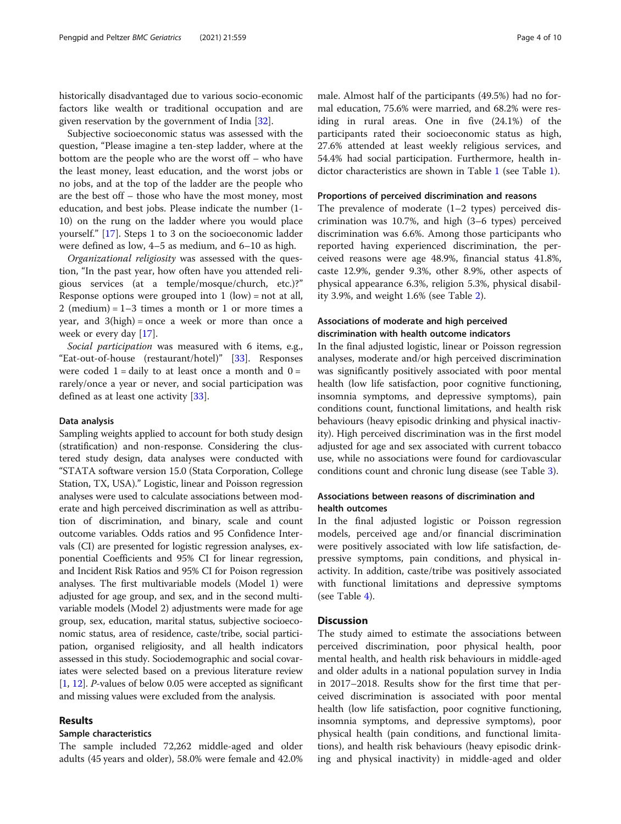historically disadvantaged due to various socio-economic factors like wealth or traditional occupation and are given reservation by the government of India [\[32](#page-9-0)].

Subjective socioeconomic status was assessed with the question, "Please imagine a ten-step ladder, where at the bottom are the people who are the worst off – who have the least money, least education, and the worst jobs or no jobs, and at the top of the ladder are the people who are the best off – those who have the most money, most education, and best jobs. Please indicate the number (1- 10) on the rung on the ladder where you would place yourself." [[17\]](#page-9-0). Steps 1 to 3 on the socioeconomic ladder were defined as low, 4–5 as medium, and 6–10 as high.

Organizational religiosity was assessed with the question, "In the past year, how often have you attended religious services (at a temple/mosque/church, etc.)?" Response options were grouped into  $1$  (low) = not at all, 2 (medium) =  $1-3$  times a month or 1 or more times a year, and 3(high) = once a week or more than once a week or every day [\[17](#page-9-0)].

Social participation was measured with 6 items, e.g., "Eat-out-of-house (restaurant/hotel)" [\[33\]](#page-9-0). Responses were coded  $1 =$  daily to at least once a month and  $0 =$ rarely/once a year or never, and social participation was defined as at least one activity [[33\]](#page-9-0).

## Data analysis

Sampling weights applied to account for both study design (stratification) and non-response. Considering the clustered study design, data analyses were conducted with "STATA software version 15.0 (Stata Corporation, College Station, TX, USA)." Logistic, linear and Poisson regression analyses were used to calculate associations between moderate and high perceived discrimination as well as attribution of discrimination, and binary, scale and count outcome variables. Odds ratios and 95 Confidence Intervals (CI) are presented for logistic regression analyses, exponential Coefficients and 95% CI for linear regression, and Incident Risk Ratios and 95% CI for Poison regression analyses. The first multivariable models (Model 1) were adjusted for age group, and sex, and in the second multivariable models (Model 2) adjustments were made for age group, sex, education, marital status, subjective socioeconomic status, area of residence, caste/tribe, social participation, organised religiosity, and all health indicators assessed in this study. Sociodemographic and social covariates were selected based on a previous literature review [[1,](#page-8-0) [12](#page-8-0)]. P-values of below 0.05 were accepted as significant and missing values were excluded from the analysis.

# Results

# Sample characteristics

The sample included 72,262 middle-aged and older adults (45 years and older), 58.0% were female and 42.0%

male. Almost half of the participants (49.5%) had no formal education, 75.6% were married, and 68.2% were residing in rural areas. One in five (24.1%) of the participants rated their socioeconomic status as high, 27.6% attended at least weekly religious services, and 54.4% had social participation. Furthermore, health indictor characteristics are shown in Table [1](#page-4-0) (see Table [1\)](#page-4-0).

# Proportions of perceived discrimination and reasons

The prevalence of moderate  $(1-2$  types) perceived discrimination was 10.7%, and high (3–6 types) perceived discrimination was 6.6%. Among those participants who reported having experienced discrimination, the perceived reasons were age 48.9%, financial status 41.8%, caste 12.9%, gender 9.3%, other 8.9%, other aspects of physical appearance 6.3%, religion 5.3%, physical disability 3.9%, and weight 1.6% (see Table [2\)](#page-5-0).

# Associations of moderate and high perceived discrimination with health outcome indicators

In the final adjusted logistic, linear or Poisson regression analyses, moderate and/or high perceived discrimination was significantly positively associated with poor mental health (low life satisfaction, poor cognitive functioning, insomnia symptoms, and depressive symptoms), pain conditions count, functional limitations, and health risk behaviours (heavy episodic drinking and physical inactivity). High perceived discrimination was in the first model adjusted for age and sex associated with current tobacco use, while no associations were found for cardiovascular conditions count and chronic lung disease (see Table [3\)](#page-6-0).

# Associations between reasons of discrimination and health outcomes

In the final adjusted logistic or Poisson regression models, perceived age and/or financial discrimination were positively associated with low life satisfaction, depressive symptoms, pain conditions, and physical inactivity. In addition, caste/tribe was positively associated with functional limitations and depressive symptoms (see Table [4](#page-7-0)).

# **Discussion**

The study aimed to estimate the associations between perceived discrimination, poor physical health, poor mental health, and health risk behaviours in middle-aged and older adults in a national population survey in India in 2017–2018. Results show for the first time that perceived discrimination is associated with poor mental health (low life satisfaction, poor cognitive functioning, insomnia symptoms, and depressive symptoms), poor physical health (pain conditions, and functional limitations), and health risk behaviours (heavy episodic drinking and physical inactivity) in middle-aged and older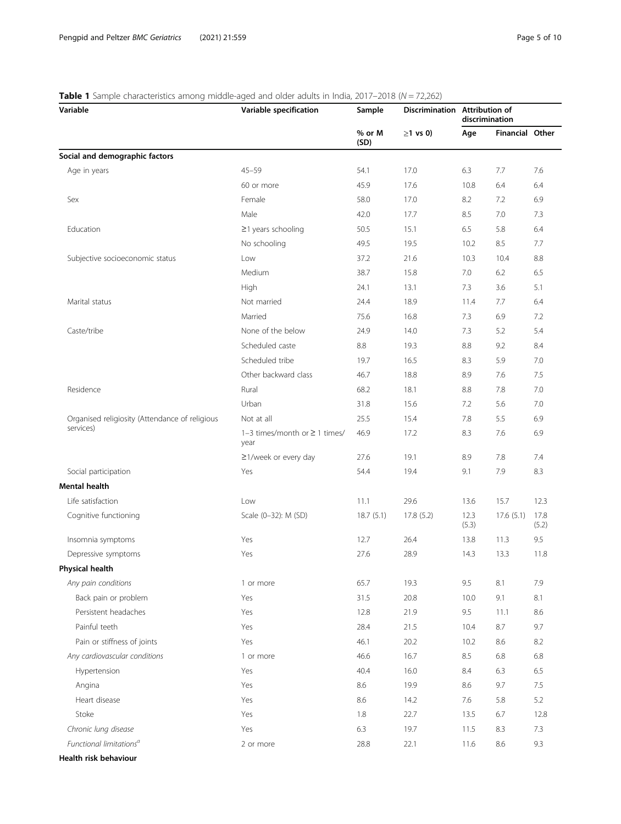# <span id="page-4-0"></span>**Table 1** Sample characteristics among middle-aged and older adults in India, 2017–2018 ( $N = 72,262$ )

| Variable                                       | Variable specification                     | Sample         | Discrimination Attribution of<br>$\geq$ 1 vs 0) | discrimination |                 |               |
|------------------------------------------------|--------------------------------------------|----------------|-------------------------------------------------|----------------|-----------------|---------------|
|                                                |                                            | % or M<br>(SD) |                                                 | Age            | Financial Other |               |
| Social and demographic factors                 |                                            |                |                                                 |                |                 |               |
| Age in years                                   | $45 - 59$                                  | 54.1           | 17.0                                            | 6.3            | 7.7             | 7.6           |
|                                                | 60 or more                                 | 45.9           | 17.6                                            | 10.8           | 6.4             | 6.4           |
| Sex                                            | Female                                     | 58.0           | 17.0                                            | 8.2            | 7.2             | 6.9           |
|                                                | Male                                       | 42.0           | 17.7                                            | 8.5            | 7.0             | 7.3           |
| Education                                      | $\geq$ 1 years schooling                   | 50.5           | 15.1                                            | 6.5            | 5.8             | 6.4           |
|                                                | No schooling                               | 49.5           | 19.5                                            | 10.2           | 8.5             | 7.7           |
| Subjective socioeconomic status                | Low                                        | 37.2           | 21.6                                            | 10.3           | 10.4            | 8.8           |
|                                                | Medium                                     | 38.7           | 15.8                                            | 7.0            | 6.2             | 6.5           |
|                                                | High                                       | 24.1           | 13.1                                            | 7.3            | 3.6             | 5.1           |
| Marital status                                 | Not married                                | 24.4           | 18.9                                            | 11.4           | 7.7             | 6.4           |
|                                                | Married                                    | 75.6           | 16.8                                            | 7.3            | 6.9             | 7.2           |
| Caste/tribe                                    | None of the below                          | 24.9           | 14.0                                            | 7.3            | 5.2             | 5.4           |
|                                                | Scheduled caste                            | 8.8            | 19.3                                            | 8.8            | 9.2             | 8.4           |
|                                                | Scheduled tribe                            | 19.7           | 16.5                                            | 8.3            | 5.9             | 7.0           |
|                                                | Other backward class                       | 46.7           | 18.8                                            | 8.9            | 7.6             | 7.5           |
| Residence                                      | Rural                                      | 68.2           | 18.1                                            | 8.8            | 7.8             | 7.0           |
|                                                | Urban                                      | 31.8           | 15.6                                            | 7.2            | 5.6             | 7.0           |
| Organised religiosity (Attendance of religious | Not at all                                 | 25.5           | 15.4                                            | 7.8            | 5.5             | 6.9           |
| services)                                      | 1-3 times/month or $\geq$ 1 times/<br>year | 46.9           | 17.2                                            | 8.3            | 7.6             | 6.9           |
|                                                | $\geq$ 1/week or every day                 | 27.6           | 19.1                                            | 8.9            | 7.8             | 7.4           |
| Social participation                           | Yes                                        | 54.4           | 19.4                                            | 9.1            | 7.9             | 8.3           |
| Mental health                                  |                                            |                |                                                 |                |                 |               |
| Life satisfaction                              | Low                                        | 11.1           | 29.6                                            | 13.6           | 15.7            | 12.3          |
| Cognitive functioning                          | Scale (0-32): M (SD)                       | 18.7(5.1)      | 17.8(5.2)                                       | 12.3<br>(5.3)  | 17.6(5.1)       | 17.8<br>(5.2) |
| Insomnia symptoms                              | Yes                                        | 12.7           | 26.4                                            | 13.8           | 11.3            | 9.5           |
| Depressive symptoms                            | Yes                                        | 27.6           | 28.9                                            | 14.3           | 13.3            | 11.8          |
| Physical health                                |                                            |                |                                                 |                |                 |               |
| Any pain conditions                            | 1 or more                                  | 65.7           | 19.3                                            | 9.5            | 8.1             | 7.9           |
| Back pain or problem                           | Yes                                        | 31.5           | 20.8                                            | 10.0           | 9.1             | 8.1           |
| Persistent headaches                           | Yes                                        | 12.8           | 21.9                                            | 9.5            | 11.1            | 8.6           |
| Painful teeth                                  | Yes                                        | 28.4           | 21.5                                            | 10.4           | 8.7             | 9.7           |
| Pain or stiffness of joints                    | Yes                                        | 46.1           | 20.2                                            | 10.2           | 8.6             | 8.2           |
| Any cardiovascular conditions                  | 1 or more                                  | 46.6           | 16.7                                            | 8.5            | 6.8             | 6.8           |
| Hypertension                                   | Yes                                        | 40.4           | 16.0                                            | 8.4            | 6.3             | 6.5           |
| Angina                                         | Yes                                        | 8.6            | 19.9                                            | 8.6            | 9.7             | 7.5           |
| Heart disease                                  | Yes                                        | 8.6            | 14.2                                            | 7.6            | 5.8             | 5.2           |
| Stoke                                          | Yes                                        | 1.8            | 22.7                                            | 13.5           | 6.7             | 12.8          |
| Chronic lung disease                           | Yes                                        | 6.3            | 19.7                                            | 11.5           | 8.3             | 7.3           |
| Functional limitations <sup>a</sup>            | 2 or more                                  | 28.8           | 22.1                                            | 11.6           | 8.6             | 9.3           |

Health risk behaviour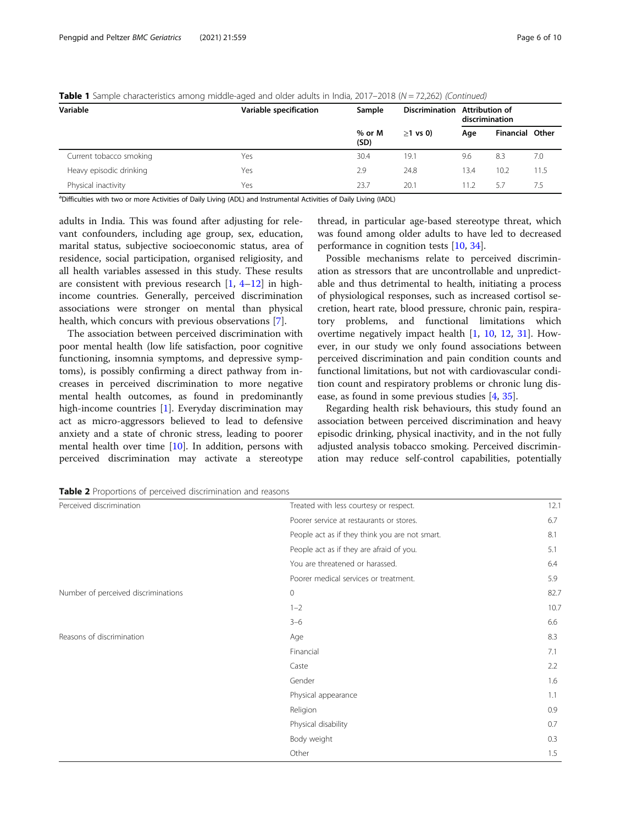| Variable                | ◡<br>$\tilde{\phantom{a}}$<br>Variable specification | Sample         | <b>Discrimination</b> | <b>Attribution of</b><br>discrimination |                        |      |
|-------------------------|------------------------------------------------------|----------------|-----------------------|-----------------------------------------|------------------------|------|
|                         |                                                      | % or M<br>(SD) | $>1$ vs 0)            | Age                                     | <b>Financial Other</b> |      |
| Current tobacco smoking | Yes                                                  | 30.4           | 19.1                  | 9.6                                     | 8.3                    | 7.0  |
| Heavy episodic drinking | Yes                                                  | 2.9            | 24.8                  | 13.4                                    | 10.2                   | 11.5 |
| Physical inactivity     | Yes                                                  | 23.7           | 20.1                  | 11.2                                    | 5.7                    | 7.5  |

<span id="page-5-0"></span>Table 1 Sample characteristics among middle-aged and older adults in India, 2017–2018 (N = 72,262) (Continued)

a Difficulties with two or more Activities of Daily Living (ADL) and Instrumental Activities of Daily Living (IADL)

adults in India. This was found after adjusting for relevant confounders, including age group, sex, education, marital status, subjective socioeconomic status, area of residence, social participation, organised religiosity, and all health variables assessed in this study. These results are consistent with previous research [[1,](#page-8-0) [4](#page-8-0)–[12](#page-8-0)] in highincome countries. Generally, perceived discrimination associations were stronger on mental than physical health, which concurs with previous observations [[7\]](#page-8-0).

The association between perceived discrimination with poor mental health (low life satisfaction, poor cognitive functioning, insomnia symptoms, and depressive symptoms), is possibly confirming a direct pathway from increases in perceived discrimination to more negative mental health outcomes, as found in predominantly high-income countries [[1\]](#page-8-0). Everyday discrimination may act as micro-aggressors believed to lead to defensive anxiety and a state of chronic stress, leading to poorer mental health over time [\[10](#page-8-0)]. In addition, persons with perceived discrimination may activate a stereotype

thread, in particular age-based stereotype threat, which was found among older adults to have led to decreased performance in cognition tests [\[10,](#page-8-0) [34\]](#page-9-0).

Possible mechanisms relate to perceived discrimination as stressors that are uncontrollable and unpredictable and thus detrimental to health, initiating a process of physiological responses, such as increased cortisol secretion, heart rate, blood pressure, chronic pain, respiratory problems, and functional limitations which overtime negatively impact health [\[1](#page-8-0), [10](#page-8-0), [12](#page-8-0), [31](#page-9-0)]. However, in our study we only found associations between perceived discrimination and pain condition counts and functional limitations, but not with cardiovascular condition count and respiratory problems or chronic lung disease, as found in some previous studies [[4,](#page-8-0) [35\]](#page-9-0).

Regarding health risk behaviours, this study found an association between perceived discrimination and heavy episodic drinking, physical inactivity, and in the not fully adjusted analysis tobacco smoking. Perceived discrimination may reduce self-control capabilities, potentially

**Table 2** Proportions of perceived discrimination and reasons

| Perceived discrimination            | Treated with less courtesy or respect.         | 12.1 |
|-------------------------------------|------------------------------------------------|------|
|                                     | Poorer service at restaurants or stores.       | 6.7  |
|                                     | People act as if they think you are not smart. | 8.1  |
|                                     | People act as if they are afraid of you.       | 5.1  |
|                                     | You are threatened or harassed.                | 6.4  |
|                                     | Poorer medical services or treatment.          | 5.9  |
| Number of perceived discriminations | 0                                              | 82.7 |
|                                     | $1 - 2$                                        | 10.7 |
|                                     | $3 - 6$                                        | 6.6  |
| Reasons of discrimination           | Age                                            | 8.3  |
|                                     | Financial                                      | 7.1  |
|                                     | Caste                                          | 2.2  |
|                                     | Gender                                         | 1.6  |
|                                     | Physical appearance                            | 1.1  |
|                                     | Religion                                       | 0.9  |
|                                     | Physical disability                            | 0.7  |
|                                     | Body weight                                    | 0.3  |
|                                     | Other                                          | 1.5  |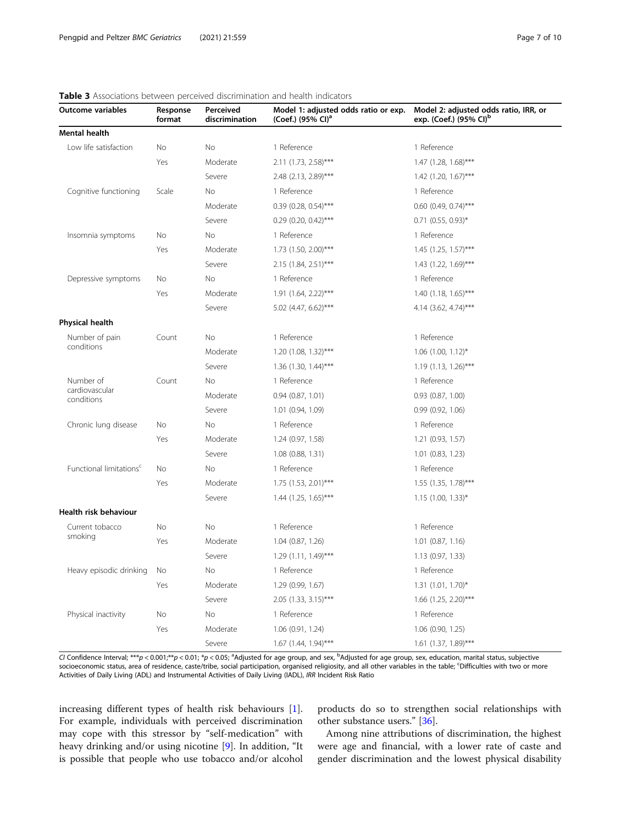| <b>Outcome variables</b>            | Response<br>format | Perceived<br>discrimination | Model 1: adjusted odds ratio or exp.<br>(Coef.) (95% CI) <sup>a</sup> | Model 2: adjusted odds ratio, IRR, or<br>exp. (Coef.) (95% CI) <sup>b</sup> |
|-------------------------------------|--------------------|-----------------------------|-----------------------------------------------------------------------|-----------------------------------------------------------------------------|
| <b>Mental health</b>                |                    |                             |                                                                       |                                                                             |
| Low life satisfaction               | No                 | No                          | 1 Reference                                                           | 1 Reference                                                                 |
|                                     | Yes                | Moderate                    | 2.11 (1.73, 2.58)***                                                  | 1.47 (1.28, 1.68)***                                                        |
|                                     |                    | Severe                      | 2.48 (2.13, 2.89)***                                                  | 1.42 (1.20, 1.67)***                                                        |
| Cognitive functioning               | Scale              | No                          | 1 Reference                                                           | 1 Reference                                                                 |
|                                     |                    | Moderate                    | $0.39$ (0.28, 0.54)***                                                | $0.60$ (0.49, 0.74)***                                                      |
|                                     |                    | Severe                      | $0.29$ (0.20, 0.42)***                                                | $0.71$ (0.55, 0.93)*                                                        |
| Insomnia symptoms                   | No                 | No                          | 1 Reference                                                           | 1 Reference                                                                 |
|                                     | Yes                | Moderate                    | 1.73 (1.50, 2.00)***                                                  | $1.45$ (1.25, 1.57)***                                                      |
|                                     |                    | Severe                      | 2.15 (1.84, 2.51)***                                                  | 1.43 (1.22, 1.69)***                                                        |
| Depressive symptoms                 | N <sub>o</sub>     | <b>No</b>                   | 1 Reference                                                           | 1 Reference                                                                 |
|                                     | Yes                | Moderate                    | 1.91 (1.64, 2.22)***                                                  | $1.40$ (1.18, 1.65)***                                                      |
|                                     |                    | Severe                      | 5.02 (4.47, 6.62)***                                                  | 4.14 (3.62, 4.74)***                                                        |
| <b>Physical health</b>              |                    |                             |                                                                       |                                                                             |
| Number of pain<br>conditions        | Count              | <b>No</b>                   | 1 Reference                                                           | 1 Reference                                                                 |
|                                     |                    | Moderate                    | 1.20 (1.08, 1.32)***                                                  | $1.06$ (1.00, 1.12) <sup>*</sup>                                            |
|                                     |                    | Severe                      | 1.36 (1.30, 1.44)***                                                  | 1.19 (1.13, 1.26)***                                                        |
| Number of                           | Count              | <b>No</b>                   | 1 Reference                                                           | 1 Reference                                                                 |
| cardiovascular<br>conditions        |                    | Moderate                    | $0.94$ $(0.87, 1.01)$                                                 | $0.93$ $(0.87, 1.00)$                                                       |
|                                     |                    | Severe                      | 1.01 (0.94, 1.09)                                                     | 0.99(0.92, 1.06)                                                            |
| Chronic lung disease                | <b>No</b>          | No                          | 1 Reference                                                           | 1 Reference                                                                 |
|                                     | Yes                | Moderate                    | 1.24 (0.97, 1.58)                                                     | 1.21 (0.93, 1.57)                                                           |
|                                     |                    | Severe                      | $1.08$ $(0.88, 1.31)$                                                 | $1.01$ $(0.83, 1.23)$                                                       |
| Functional limitations <sup>c</sup> | No.                | No                          | 1 Reference                                                           | 1 Reference                                                                 |
|                                     | Yes                | Moderate                    | 1.75 (1.53, 2.01)***                                                  | 1.55 (1.35, 1.78)***                                                        |
|                                     |                    | Severe                      | 1.44 (1.25, 1.65)***                                                  | $1.15$ (1.00, 1.33)*                                                        |
| Health risk behaviour               |                    |                             |                                                                       |                                                                             |
| Current tobacco                     | <b>No</b>          | <b>No</b>                   | 1 Reference                                                           | 1 Reference                                                                 |
| smoking                             | Yes                | Moderate                    | $1.04$ (0.87, 1.26)                                                   | $1.01$ $(0.87, 1.16)$                                                       |
|                                     |                    | Severe                      | 1.29 (1.11, 1.49)***                                                  | 1.13(0.97, 1.33)                                                            |
| Heavy episodic drinking             | <b>No</b>          | <b>No</b>                   | 1 Reference                                                           | 1 Reference                                                                 |
|                                     | Yes                | Moderate                    | 1.29 (0.99, 1.67)                                                     | $1.31$ (1.01, 1.70) <sup>*</sup>                                            |
|                                     |                    | Severe                      | 2.05 (1.33, 3.15)***                                                  | 1.66 (1.25, 2.20)***                                                        |
| Physical inactivity                 | No                 | <b>No</b>                   | 1 Reference                                                           | 1 Reference                                                                 |
|                                     | Yes                | Moderate                    | 1.06 (0.91, 1.24)                                                     | 1.06 (0.90, 1.25)                                                           |
|                                     |                    | Severe                      | 1.67 (1.44, 1.94)***                                                  | 1.61 (1.37, 1.89)***                                                        |

# <span id="page-6-0"></span>Table 3 Associations between perceived discrimination and health indicators

CI Confidence Interval; \*\*\*p < 0.001;\*\*p < 0.01; \*p < 0.05; <sup>a</sup>Adjusted for age group, and sex, <sup>b</sup>Adjusted for age group, sex, education, marital status, subjective socioeconomic status, area of residence, caste/tribe, social participation, organised religiosity, and all other variables in the table; <sup>c</sup>Difficulties with two or more Activities of Daily Living (ADL) and Instrumental Activities of Daily Living (IADL), IRR Incident Risk Ratio

increasing different types of health risk behaviours [\[1](#page-8-0)]. For example, individuals with perceived discrimination may cope with this stressor by "self-medication" with heavy drinking and/or using nicotine [[9\]](#page-8-0). In addition, "It is possible that people who use tobacco and/or alcohol products do so to strengthen social relationships with other substance users." [[36\]](#page-9-0).

Among nine attributions of discrimination, the highest were age and financial, with a lower rate of caste and gender discrimination and the lowest physical disability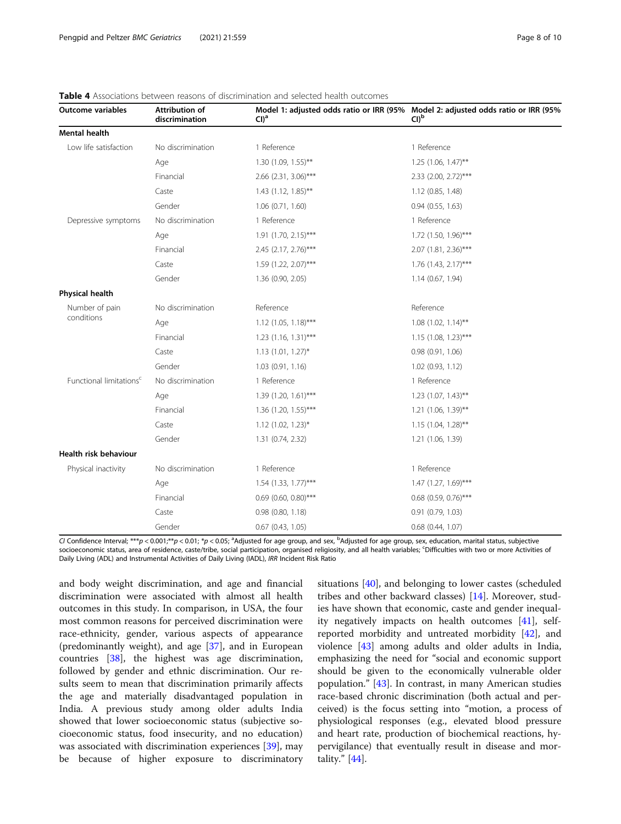| <b>Outcome variables</b>            | Attribution of<br>discrimination | $Cl)^a$                | Model 1: adjusted odds ratio or IRR (95% Model 2: adjusted odds ratio or IRR (95%<br>Cl <sub>b</sub> |
|-------------------------------------|----------------------------------|------------------------|------------------------------------------------------------------------------------------------------|
| <b>Mental health</b>                |                                  |                        |                                                                                                      |
| Low life satisfaction               | No discrimination                | 1 Reference            | 1 Reference                                                                                          |
|                                     | Age                              | 1.30 (1.09, 1.55)**    | $1.25$ (1.06, 1.47)**                                                                                |
|                                     | Financial                        | 2.66 (2.31, 3.06)***   | 2.33 (2.00, 2.72)***                                                                                 |
|                                     | Caste                            | $1.43$ (1.12, 1.85)**  | 1.12 (0.85, 1.48)                                                                                    |
|                                     | Gender                           | $1.06$ $(0.71, 1.60)$  | 0.94(0.55, 1.63)                                                                                     |
| Depressive symptoms                 | No discrimination                | 1 Reference            | 1 Reference                                                                                          |
|                                     | Age                              | $1.91$ (1.70, 2.15)*** | 1.72 (1.50, 1.96)***                                                                                 |
|                                     | Financial                        | 2.45 (2.17, 2.76)***   | 2.07 (1.81, 2.36)***                                                                                 |
|                                     | Caste                            | 1.59 (1.22, 2.07)***   | 1.76 (1.43, 2.17)***                                                                                 |
|                                     | Gender                           | 1.36 (0.90, 2.05)      | 1.14 (0.67, 1.94)                                                                                    |
| Physical health                     |                                  |                        |                                                                                                      |
| Number of pain<br>conditions        | No discrimination                | Reference              | Reference                                                                                            |
|                                     | Age                              | $1.12$ (1.05, 1.18)*** | $1.08$ (1.02, 1.14)**                                                                                |
|                                     | Financial                        | $1.23$ (1.16, 1.31)*** | $1.15$ (1.08, 1.23)***                                                                               |
|                                     | Caste                            | $1.13$ (1.01, 1.27)*   | 0.98(0.91, 1.06)                                                                                     |
|                                     | Gender                           | 1.03(0.91, 1.16)       | 1.02 (0.93, 1.12)                                                                                    |
| Functional limitations <sup>c</sup> | No discrimination                | 1 Reference            | 1 Reference                                                                                          |
|                                     | Age                              | 1.39 (1.20, 1.61)***   | $1.23$ (1.07, 1.43)**                                                                                |
|                                     | Financial                        | 1.36 (1.20, 1.55)***   | $1.21$ (1.06, 1.39)**                                                                                |
|                                     | Caste                            | $1.12$ (1.02, 1.23)*   | $1.15$ (1.04, 1.28)**                                                                                |
|                                     | Gender                           | 1.31 (0.74, 2.32)      | 1.21 (1.06, 1.39)                                                                                    |
| <b>Health risk behaviour</b>        |                                  |                        |                                                                                                      |
| Physical inactivity                 | No discrimination                | 1 Reference            | 1 Reference                                                                                          |
|                                     | Age                              | $1.54$ (1.33, 1.77)*** | 1.47 (1.27, 1.69)***                                                                                 |
|                                     | Financial                        | $0.69$ (0.60, 0.80)*** | $0.68$ (0.59, 0.76)***                                                                               |
|                                     | Caste                            | $0.98$ $(0.80, 1.18)$  | 0.91 (0.79, 1.03)                                                                                    |
|                                     | Gender                           | $0.67$ $(0.43, 1.05)$  | $0.68$ $(0.44, 1.07)$                                                                                |

# <span id="page-7-0"></span>Table 4 Associations between reasons of discrimination and selected health outcomes

CI Confidence Interval; \*\*\*p < 0.001;\*\*p < 0.01; \*p < 0.05; <sup>a</sup>Adjusted for age group, and sex, <sup>b</sup>Adjusted for age group, sex, education, marital status, subjective socioeconomic status, area of residence, caste/tribe, social participation, organised religiosity, and all health variables; <sup>c</sup>Difficulties with two or more Activities of Daily Living (ADL) and Instrumental Activities of Daily Living (IADL), IRR Incident Risk Ratio

and body weight discrimination, and age and financial discrimination were associated with almost all health outcomes in this study. In comparison, in USA, the four most common reasons for perceived discrimination were race-ethnicity, gender, various aspects of appearance (predominantly weight), and age [[37](#page-9-0)], and in European countries [\[38](#page-9-0)], the highest was age discrimination, followed by gender and ethnic discrimination. Our results seem to mean that discrimination primarily affects the age and materially disadvantaged population in India. A previous study among older adults India showed that lower socioeconomic status (subjective socioeconomic status, food insecurity, and no education) was associated with discrimination experiences [\[39](#page-9-0)], may be because of higher exposure to discriminatory

situations [\[40](#page-9-0)], and belonging to lower castes (scheduled tribes and other backward classes) [\[14](#page-9-0)]. Moreover, studies have shown that economic, caste and gender inequality negatively impacts on health outcomes [\[41](#page-9-0)], selfreported morbidity and untreated morbidity [\[42\]](#page-9-0), and violence [\[43](#page-9-0)] among adults and older adults in India, emphasizing the need for "social and economic support should be given to the economically vulnerable older population." [\[43\]](#page-9-0). In contrast, in many American studies race-based chronic discrimination (both actual and perceived) is the focus setting into "motion, a process of physiological responses (e.g., elevated blood pressure and heart rate, production of biochemical reactions, hypervigilance) that eventually result in disease and mortality." [[44\]](#page-9-0).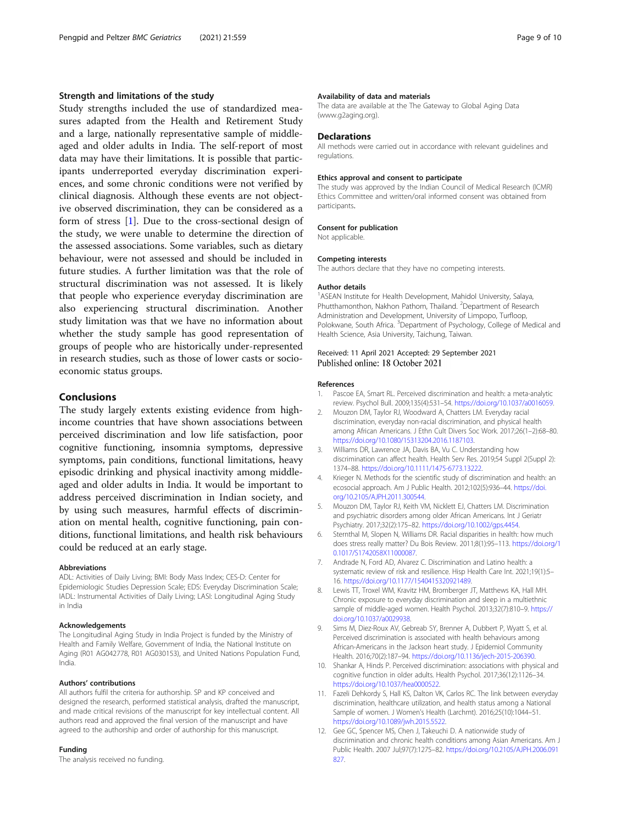# <span id="page-8-0"></span>Strength and limitations of the study

Study strengths included the use of standardized measures adapted from the Health and Retirement Study and a large, nationally representative sample of middleaged and older adults in India. The self-report of most data may have their limitations. It is possible that participants underreported everyday discrimination experiences, and some chronic conditions were not verified by clinical diagnosis. Although these events are not objective observed discrimination, they can be considered as a form of stress [1]. Due to the cross-sectional design of the study, we were unable to determine the direction of the assessed associations. Some variables, such as dietary behaviour, were not assessed and should be included in future studies. A further limitation was that the role of structural discrimination was not assessed. It is likely that people who experience everyday discrimination are also experiencing structural discrimination. Another study limitation was that we have no information about whether the study sample has good representation of groups of people who are historically under-represented in research studies, such as those of lower casts or socioeconomic status groups.

# Conclusions

The study largely extents existing evidence from highincome countries that have shown associations between perceived discrimination and low life satisfaction, poor cognitive functioning, insomnia symptoms, depressive symptoms, pain conditions, functional limitations, heavy episodic drinking and physical inactivity among middleaged and older adults in India. It would be important to address perceived discrimination in Indian society, and by using such measures, harmful effects of discrimination on mental health, cognitive functioning, pain conditions, functional limitations, and health risk behaviours could be reduced at an early stage.

#### Abbreviations

ADL: Activities of Daily Living; BMI: Body Mass Index; CES-D: Center for Epidemiologic Studies Depression Scale; EDS: Everyday Discrimination Scale; IADL: Instrumental Activities of Daily Living; LASI: Longitudinal Aging Study in India

#### Acknowledgements

The Longitudinal Aging Study in India Project is funded by the Ministry of Health and Family Welfare, Government of India, the National Institute on Aging (R01 AG042778, R01 AG030153), and United Nations Population Fund, India.

#### Authors' contributions

All authors fulfil the criteria for authorship. SP and KP conceived and designed the research, performed statistical analysis, drafted the manuscript, and made critical revisions of the manuscript for key intellectual content. All authors read and approved the final version of the manuscript and have agreed to the authorship and order of authorship for this manuscript.

# Funding

The analysis received no funding.

#### Availability of data and materials

The data are available at the The Gateway to Global Aging Data (www.g2aging.org).

## **Declarations**

All methods were carried out in accordance with relevant guidelines and regulations.

#### Ethics approval and consent to participate

The study was approved by the Indian Council of Medical Research (ICMR) Ethics Committee and written/oral informed consent was obtained from participants.

#### Consent for publication

Not applicable.

#### Competing interests

The authors declare that they have no competing interests.

#### Author details

<sup>1</sup>ASEAN Institute for Health Development, Mahidol University, Salaya, Phutthamonthon, Nakhon Pathom, Thailand. <sup>2</sup> Department of Research Administration and Development, University of Limpopo, Turfloop, Polokwane, South Africa. <sup>3</sup>Department of Psychology, College of Medical and Health Science, Asia University, Taichung, Taiwan.

# Received: 11 April 2021 Accepted: 29 September 2021 Published online: 18 October 2021

#### References

- 1. Pascoe EA, Smart RL. Perceived discrimination and health: a meta-analytic review. Psychol Bull. 2009;135(4):531–54. [https://doi.org/10.1037/a0016059.](https://doi.org/10.1037/a0016059)
- 2. Mouzon DM, Taylor RJ, Woodward A, Chatters LM. Everyday racial discrimination, everyday non-racial discrimination, and physical health among African Americans. J Ethn Cult Divers Soc Work. 2017;26(1–2):68–80. <https://doi.org/10.1080/15313204.2016.1187103>.
- 3. Williams DR, Lawrence JA, Davis BA, Vu C. Understanding how discrimination can affect health. Health Serv Res. 2019;54 Suppl 2(Suppl 2): 1374–88. [https://doi.org/10.1111/1475-6773.13222.](https://doi.org/10.1111/1475-6773.13222)
- Krieger N. Methods for the scientific study of discrimination and health: an ecosocial approach. Am J Public Health. 2012;102(5):936–44. [https://doi.](https://doi.org/10.2105/AJPH.2011.300544) [org/10.2105/AJPH.2011.300544](https://doi.org/10.2105/AJPH.2011.300544).
- 5. Mouzon DM, Taylor RJ, Keith VM, Nicklett EJ, Chatters LM. Discrimination and psychiatric disorders among older African Americans. Int J Geriatr Psychiatry. 2017;32(2):175–82. [https://doi.org/10.1002/gps.4454.](https://doi.org/10.1002/gps.4454)
- 6. Sternthal M, Slopen N, Williams DR. Racial disparities in health: how much does stress really matter? Du Bois Review. 2011;8(1):95–113. [https://doi.org/1](https://doi.org/10.1017/S1742058X11000087) [0.1017/S1742058X11000087.](https://doi.org/10.1017/S1742058X11000087)
- 7. Andrade N, Ford AD, Alvarez C. Discrimination and Latino health: a systematic review of risk and resilience. Hisp Health Care Int. 2021;19(1):5– 16. [https://doi.org/10.1177/1540415320921489.](https://doi.org/10.1177/1540415320921489)
- 8. Lewis TT, Troxel WM, Kravitz HM, Bromberger JT, Matthews KA, Hall MH. Chronic exposure to everyday discrimination and sleep in a multiethnic sample of middle-aged women. Health Psychol. 2013;32(7):810–9. [https://](https://doi.org/10.1037/a0029938) [doi.org/10.1037/a0029938](https://doi.org/10.1037/a0029938).
- 9. Sims M, Diez-Roux AV, Gebreab SY, Brenner A, Dubbert P, Wyatt S, et al. Perceived discrimination is associated with health behaviours among African-Americans in the Jackson heart study. J Epidemiol Community Health. 2016;70(2):187–94. [https://doi.org/10.1136/jech-2015-206390.](https://doi.org/10.1136/jech-2015-206390)
- 10. Shankar A, Hinds P. Perceived discrimination: associations with physical and cognitive function in older adults. Health Psychol. 2017;36(12):1126–34. <https://doi.org/10.1037/hea0000522>.
- 11. Fazeli Dehkordy S, Hall KS, Dalton VK, Carlos RC. The link between everyday discrimination, healthcare utilization, and health status among a National Sample of women. J Women's Health (Larchmt). 2016;25(10):1044–51. <https://doi.org/10.1089/jwh.2015.5522>.
- 12. Gee GC, Spencer MS, Chen J, Takeuchi D. A nationwide study of discrimination and chronic health conditions among Asian Americans. Am J Public Health. 2007 Jul;97(7):1275–82. [https://doi.org/10.2105/AJPH.2006.091](https://doi.org/10.2105/AJPH.2006.091827) [827.](https://doi.org/10.2105/AJPH.2006.091827)